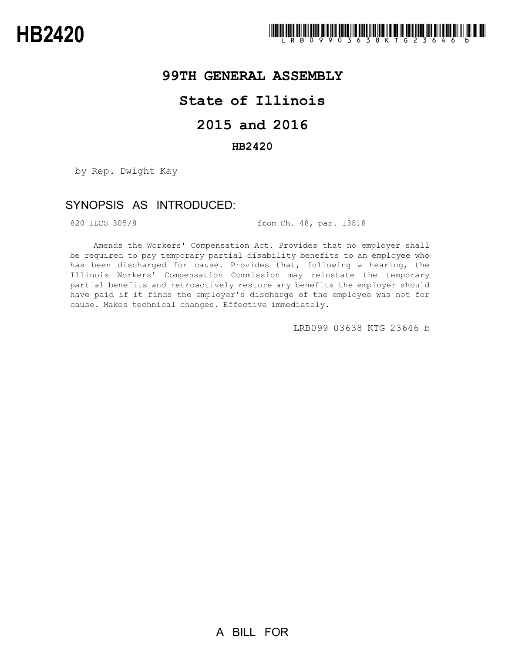

### **99TH GENERAL ASSEMBLY**

## **State of Illinois**

# **2015 and 2016**

### **HB2420**

by Rep. Dwight Kay

### SYNOPSIS AS INTRODUCED:

820 ILCS 305/8 from Ch. 48, par. 138.8

Amends the Workers' Compensation Act. Provides that no employer shall be required to pay temporary partial disability benefits to an employee who has been discharged for cause. Provides that, following a hearing, the Illinois Workers' Compensation Commission may reinstate the temporary partial benefits and retroactively restore any benefits the employer should have paid if it finds the employer's discharge of the employee was not for cause. Makes technical changes. Effective immediately.

LRB099 03638 KTG 23646 b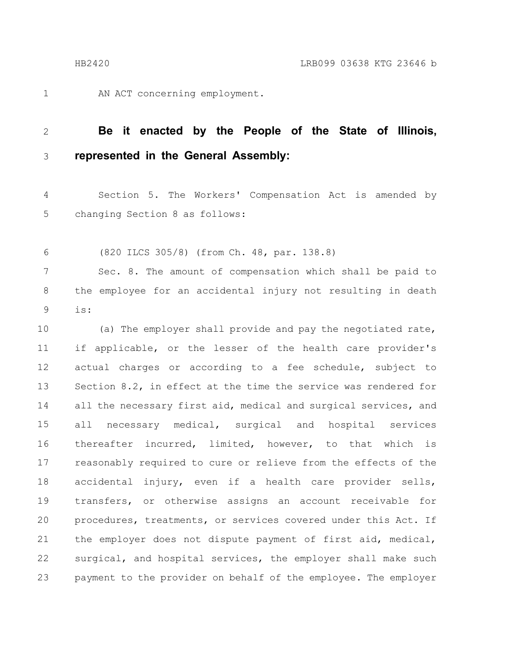1

AN ACT concerning employment.

#### **Be it enacted by the People of the State of Illinois, represented in the General Assembly:** 2 3

Section 5. The Workers' Compensation Act is amended by changing Section 8 as follows: 4 5

(820 ILCS 305/8) (from Ch. 48, par. 138.8) 6

Sec. 8. The amount of compensation which shall be paid to the employee for an accidental injury not resulting in death is: 7 8 9

(a) The employer shall provide and pay the negotiated rate, if applicable, or the lesser of the health care provider's actual charges or according to a fee schedule, subject to Section 8.2, in effect at the time the service was rendered for all the necessary first aid, medical and surgical services, and all necessary medical, surgical and hospital services thereafter incurred, limited, however, to that which is reasonably required to cure or relieve from the effects of the accidental injury, even if a health care provider sells, transfers, or otherwise assigns an account receivable for procedures, treatments, or services covered under this Act. If the employer does not dispute payment of first aid, medical, surgical, and hospital services, the employer shall make such payment to the provider on behalf of the employee. The employer 10 11 12 13 14 15 16 17 18 19 20 21 22 23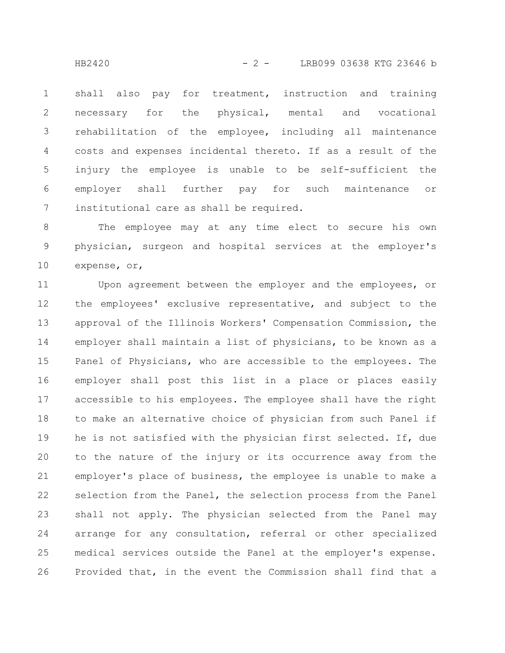HB2420 - 2 - LRB099 03638 KTG 23646 b

shall also pay for treatment, instruction and training necessary for the physical, mental and vocational rehabilitation of the employee, including all maintenance costs and expenses incidental thereto. If as a result of the injury the employee is unable to be self-sufficient the employer shall further pay for such maintenance or institutional care as shall be required. 1 2 3 4 5 6 7

The employee may at any time elect to secure his own physician, surgeon and hospital services at the employer's expense, or, 8 9 10

Upon agreement between the employer and the employees, or the employees' exclusive representative, and subject to the approval of the Illinois Workers' Compensation Commission, the employer shall maintain a list of physicians, to be known as a Panel of Physicians, who are accessible to the employees. The employer shall post this list in a place or places easily accessible to his employees. The employee shall have the right to make an alternative choice of physician from such Panel if he is not satisfied with the physician first selected. If, due to the nature of the injury or its occurrence away from the employer's place of business, the employee is unable to make a selection from the Panel, the selection process from the Panel shall not apply. The physician selected from the Panel may arrange for any consultation, referral or other specialized medical services outside the Panel at the employer's expense. Provided that, in the event the Commission shall find that a 11 12 13 14 15 16 17 18 19 20 21 22 23 24 25 26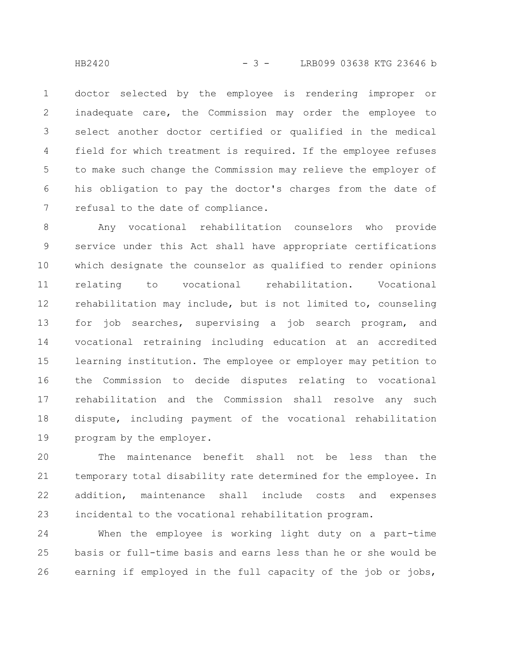doctor selected by the employee is rendering improper or inadequate care, the Commission may order the employee to select another doctor certified or qualified in the medical field for which treatment is required. If the employee refuses to make such change the Commission may relieve the employer of his obligation to pay the doctor's charges from the date of refusal to the date of compliance. 1 2 3 4 5 6 7

Any vocational rehabilitation counselors who provide service under this Act shall have appropriate certifications which designate the counselor as qualified to render opinions relating to vocational rehabilitation. Vocational rehabilitation may include, but is not limited to, counseling for job searches, supervising a job search program, and vocational retraining including education at an accredited learning institution. The employee or employer may petition to the Commission to decide disputes relating to vocational rehabilitation and the Commission shall resolve any such dispute, including payment of the vocational rehabilitation program by the employer. 8 9 10 11 12 13 14 15 16 17 18 19

The maintenance benefit shall not be less than the temporary total disability rate determined for the employee. In addition, maintenance shall include costs and expenses incidental to the vocational rehabilitation program. 20 21 22 23

When the employee is working light duty on a part-time basis or full-time basis and earns less than he or she would be earning if employed in the full capacity of the job or jobs, 24 25 26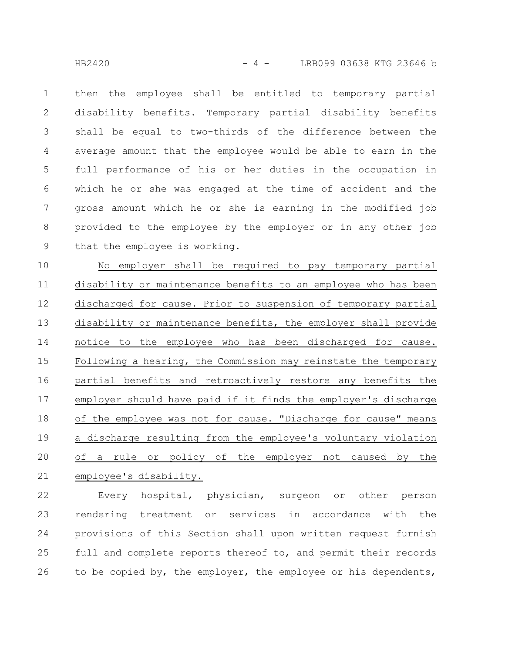then the employee shall be entitled to temporary partial disability benefits. Temporary partial disability benefits shall be equal to two-thirds of the difference between the average amount that the employee would be able to earn in the full performance of his or her duties in the occupation in which he or she was engaged at the time of accident and the gross amount which he or she is earning in the modified job provided to the employee by the employer or in any other job that the employee is working. 1 2 3 4 5 6 7 8 9

No employer shall be required to pay temporary partial disability or maintenance benefits to an employee who has been discharged for cause. Prior to suspension of temporary partial disability or maintenance benefits, the employer shall provide notice to the employee who has been discharged for cause. Following a hearing, the Commission may reinstate the temporary partial benefits and retroactively restore any benefits the employer should have paid if it finds the employer's discharge of the employee was not for cause. "Discharge for cause" means a discharge resulting from the employee's voluntary violation of a rule or policy of the employer not caused by the employee's disability. 10 11 12 13 14 15 16 17 18 19 20 21

Every hospital, physician, surgeon or other person rendering treatment or services in accordance with the provisions of this Section shall upon written request furnish full and complete reports thereof to, and permit their records to be copied by, the employer, the employee or his dependents, 22 23 24 25 26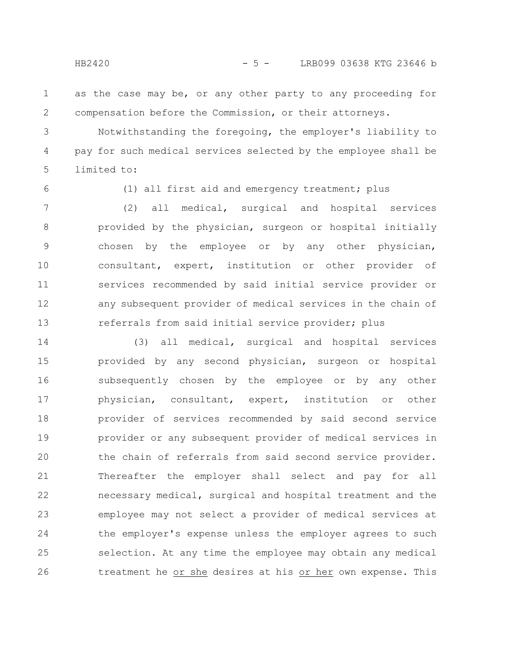as the case may be, or any other party to any proceeding for compensation before the Commission, or their attorneys. 1 2

Notwithstanding the foregoing, the employer's liability to pay for such medical services selected by the employee shall be limited to: 3 4 5

6

(1) all first aid and emergency treatment; plus

(2) all medical, surgical and hospital services provided by the physician, surgeon or hospital initially chosen by the employee or by any other physician, consultant, expert, institution or other provider of services recommended by said initial service provider or any subsequent provider of medical services in the chain of referrals from said initial service provider; plus 7 8 9 10 11 12 13

(3) all medical, surgical and hospital services provided by any second physician, surgeon or hospital subsequently chosen by the employee or by any other physician, consultant, expert, institution or other provider of services recommended by said second service provider or any subsequent provider of medical services in the chain of referrals from said second service provider. Thereafter the employer shall select and pay for all necessary medical, surgical and hospital treatment and the employee may not select a provider of medical services at the employer's expense unless the employer agrees to such selection. At any time the employee may obtain any medical treatment he or she desires at his or her own expense. This 14 15 16 17 18 19 20 21 22 23 24 25 26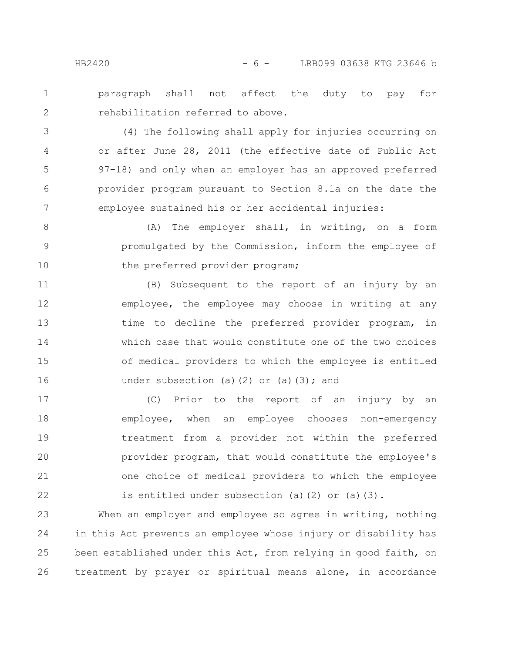paragraph shall not affect the duty to pay for rehabilitation referred to above. 1 2

(4) The following shall apply for injuries occurring on or after June 28, 2011 (the effective date of Public Act 97-18) and only when an employer has an approved preferred provider program pursuant to Section 8.1a on the date the employee sustained his or her accidental injuries: 3 4 5 6 7

(A) The employer shall, in writing, on a form promulgated by the Commission, inform the employee of the preferred provider program; 8 9 10

(B) Subsequent to the report of an injury by an employee, the employee may choose in writing at any time to decline the preferred provider program, in which case that would constitute one of the two choices of medical providers to which the employee is entitled under subsection (a)(2) or (a)(3); and 11 12 13 14 15 16

(C) Prior to the report of an injury by an employee, when an employee chooses non-emergency treatment from a provider not within the preferred provider program, that would constitute the employee's one choice of medical providers to which the employee is entitled under subsection (a)(2) or (a)(3). 17 18 19 20 21 22

When an employer and employee so agree in writing, nothing in this Act prevents an employee whose injury or disability has been established under this Act, from relying in good faith, on treatment by prayer or spiritual means alone, in accordance 23 24 25 26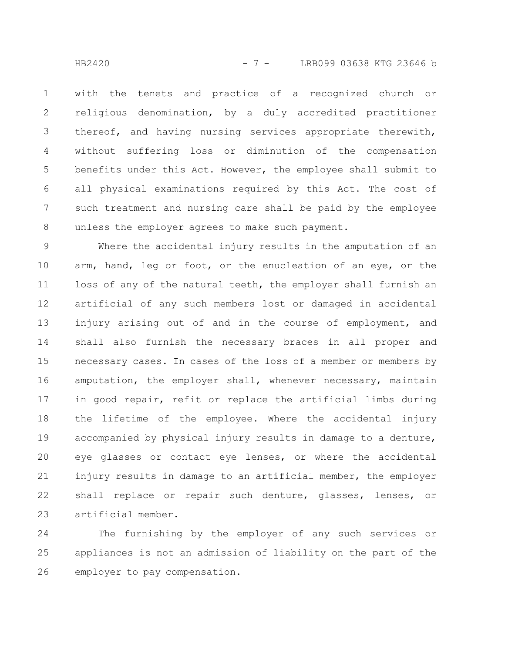with the tenets and practice of a recognized church or religious denomination, by a duly accredited practitioner thereof, and having nursing services appropriate therewith, without suffering loss or diminution of the compensation benefits under this Act. However, the employee shall submit to all physical examinations required by this Act. The cost of such treatment and nursing care shall be paid by the employee unless the employer agrees to make such payment. 1 2 3 4 5 6 7 8

Where the accidental injury results in the amputation of an arm, hand, leg or foot, or the enucleation of an eye, or the loss of any of the natural teeth, the employer shall furnish an artificial of any such members lost or damaged in accidental injury arising out of and in the course of employment, and shall also furnish the necessary braces in all proper and necessary cases. In cases of the loss of a member or members by amputation, the employer shall, whenever necessary, maintain in good repair, refit or replace the artificial limbs during the lifetime of the employee. Where the accidental injury accompanied by physical injury results in damage to a denture, eye glasses or contact eye lenses, or where the accidental injury results in damage to an artificial member, the employer shall replace or repair such denture, glasses, lenses, or artificial member. 9 10 11 12 13 14 15 16 17 18 19 20 21 22 23

The furnishing by the employer of any such services or appliances is not an admission of liability on the part of the employer to pay compensation. 24 25 26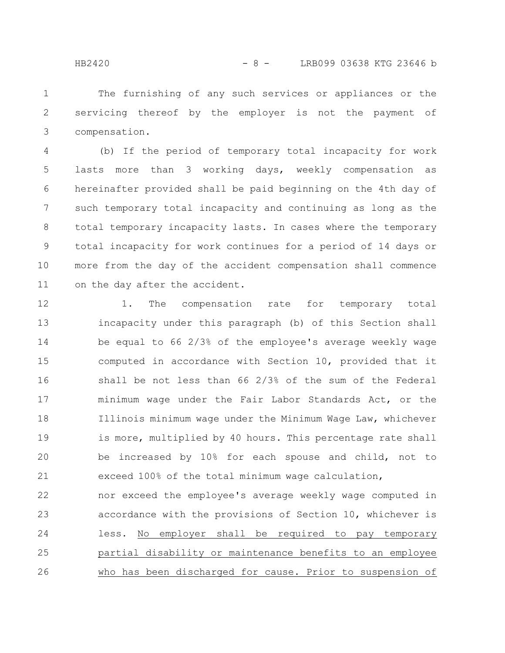The furnishing of any such services or appliances or the servicing thereof by the employer is not the payment of compensation. 1 2 3

(b) If the period of temporary total incapacity for work lasts more than 3 working days, weekly compensation as hereinafter provided shall be paid beginning on the 4th day of such temporary total incapacity and continuing as long as the total temporary incapacity lasts. In cases where the temporary total incapacity for work continues for a period of 14 days or more from the day of the accident compensation shall commence on the day after the accident. 4 5 6 7 8 9 10 11

1. The compensation rate for temporary total incapacity under this paragraph (b) of this Section shall be equal to 66 2/3% of the employee's average weekly wage computed in accordance with Section 10, provided that it shall be not less than 66 2/3% of the sum of the Federal minimum wage under the Fair Labor Standards Act, or the Illinois minimum wage under the Minimum Wage Law, whichever is more, multiplied by 40 hours. This percentage rate shall be increased by 10% for each spouse and child, not to exceed 100% of the total minimum wage calculation, nor exceed the employee's average weekly wage computed in accordance with the provisions of Section 10, whichever is less. No employer shall be required to pay temporary partial disability or maintenance benefits to an employee who has been discharged for cause. Prior to suspension of 12 13 14 15 16 17 18 19 20 21 22 23 24 25 26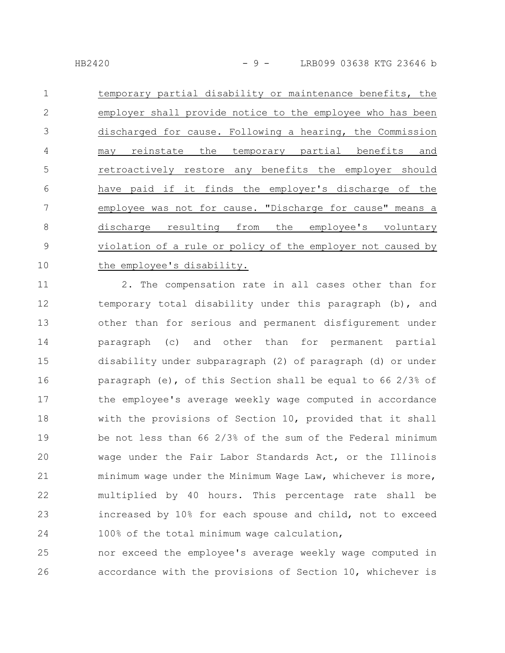| $\mathbf{1}$<br>temporary partial disability or maintenance benefits, the   |  |
|-----------------------------------------------------------------------------|--|
| $\mathcal{L}$<br>employer shall provide notice to the employee who has been |  |
| 3<br>discharged for cause. Following a hearing, the Commission              |  |
| 4<br>may reinstate the temporary partial benefits and                       |  |
| 5<br>retroactively restore any benefits the employer should                 |  |
| 6<br>have paid if it finds the employer's discharge of the                  |  |
| 7<br>employee was not for cause. "Discharge for cause" means a              |  |
| 8<br>discharge resulting from the employee's voluntary                      |  |
| 9<br>violation of a rule or policy of the employer not caused by            |  |
| 10<br>the employee's disability.                                            |  |

2. The compensation rate in all cases other than for temporary total disability under this paragraph (b), and other than for serious and permanent disfigurement under paragraph (c) and other than for permanent partial disability under subparagraph (2) of paragraph (d) or under paragraph (e), of this Section shall be equal to 66 2/3% of the employee's average weekly wage computed in accordance with the provisions of Section 10, provided that it shall be not less than 66 2/3% of the sum of the Federal minimum wage under the Fair Labor Standards Act, or the Illinois minimum wage under the Minimum Wage Law, whichever is more, multiplied by 40 hours. This percentage rate shall be increased by 10% for each spouse and child, not to exceed 100% of the total minimum wage calculation, nor exceed the employee's average weekly wage computed in 11 12 13 14 15 16 17 18 19 20 21 22 23 24 25

accordance with the provisions of Section 10, whichever is 26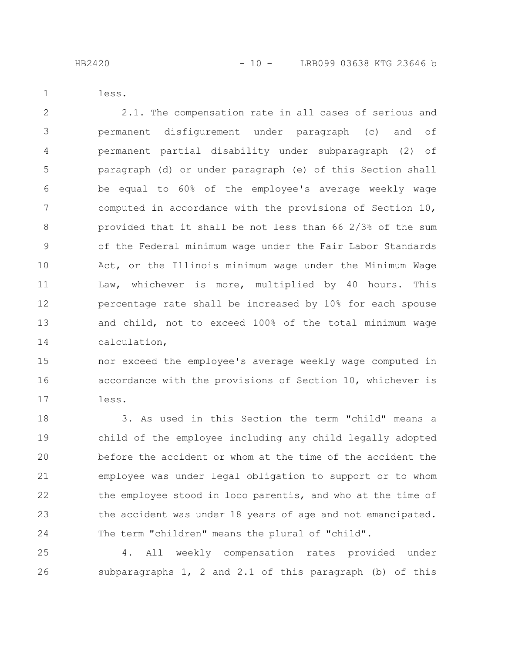HB2420 - 10 - LRB099 03638 KTG 23646 b

less.

1

2.1. The compensation rate in all cases of serious and permanent disfigurement under paragraph (c) and of permanent partial disability under subparagraph (2) of paragraph (d) or under paragraph (e) of this Section shall be equal to 60% of the employee's average weekly wage computed in accordance with the provisions of Section 10, provided that it shall be not less than 66 2/3% of the sum of the Federal minimum wage under the Fair Labor Standards Act, or the Illinois minimum wage under the Minimum Wage Law, whichever is more, multiplied by 40 hours. This percentage rate shall be increased by 10% for each spouse and child, not to exceed 100% of the total minimum wage calculation, 2 3 4 5 6 7 8 9 10 11 12 13 14

nor exceed the employee's average weekly wage computed in accordance with the provisions of Section 10, whichever is less. 15 16 17

3. As used in this Section the term "child" means a child of the employee including any child legally adopted before the accident or whom at the time of the accident the employee was under legal obligation to support or to whom the employee stood in loco parentis, and who at the time of the accident was under 18 years of age and not emancipated. The term "children" means the plural of "child". 18 19 20 21 22 23 24

4. All weekly compensation rates provided under subparagraphs 1, 2 and 2.1 of this paragraph (b) of this 25 26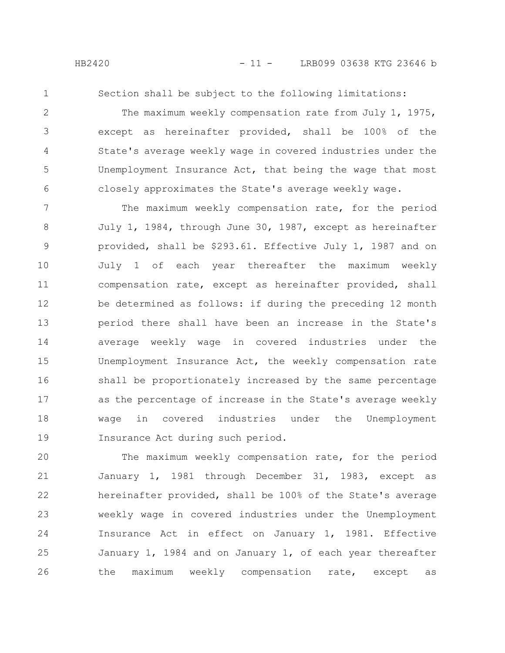1

Section shall be subject to the following limitations:

The maximum weekly compensation rate from July 1, 1975, except as hereinafter provided, shall be 100% of the State's average weekly wage in covered industries under the Unemployment Insurance Act, that being the wage that most closely approximates the State's average weekly wage. 2 3 4 5 6

The maximum weekly compensation rate, for the period July 1, 1984, through June 30, 1987, except as hereinafter provided, shall be \$293.61. Effective July 1, 1987 and on July 1 of each year thereafter the maximum weekly compensation rate, except as hereinafter provided, shall be determined as follows: if during the preceding 12 month period there shall have been an increase in the State's average weekly wage in covered industries under the Unemployment Insurance Act, the weekly compensation rate shall be proportionately increased by the same percentage as the percentage of increase in the State's average weekly wage in covered industries under the Unemployment Insurance Act during such period. 7 8 9 10 11 12 13 14 15 16 17 18 19

The maximum weekly compensation rate, for the period January 1, 1981 through December 31, 1983, except as hereinafter provided, shall be 100% of the State's average weekly wage in covered industries under the Unemployment Insurance Act in effect on January 1, 1981. Effective January 1, 1984 and on January 1, of each year thereafter the maximum weekly compensation rate, except as 20 21 22 23 24 25 26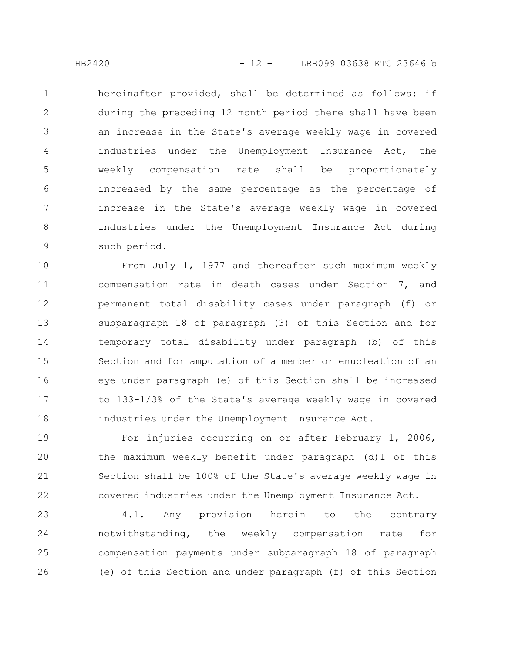hereinafter provided, shall be determined as follows: if during the preceding 12 month period there shall have been an increase in the State's average weekly wage in covered industries under the Unemployment Insurance Act, the weekly compensation rate shall be proportionately increased by the same percentage as the percentage of increase in the State's average weekly wage in covered industries under the Unemployment Insurance Act during such period. 1 2 3 4 5 6 7 8 9

From July 1, 1977 and thereafter such maximum weekly compensation rate in death cases under Section 7, and permanent total disability cases under paragraph (f) or subparagraph 18 of paragraph (3) of this Section and for temporary total disability under paragraph (b) of this Section and for amputation of a member or enucleation of an eye under paragraph (e) of this Section shall be increased to 133-1/3% of the State's average weekly wage in covered industries under the Unemployment Insurance Act. 10 11 12 13 14 15 16 17 18

For injuries occurring on or after February 1, 2006, the maximum weekly benefit under paragraph (d)1 of this Section shall be 100% of the State's average weekly wage in covered industries under the Unemployment Insurance Act. 19 20 21 22

4.1. Any provision herein to the contrary notwithstanding, the weekly compensation rate for compensation payments under subparagraph 18 of paragraph (e) of this Section and under paragraph (f) of this Section 23 24 25 26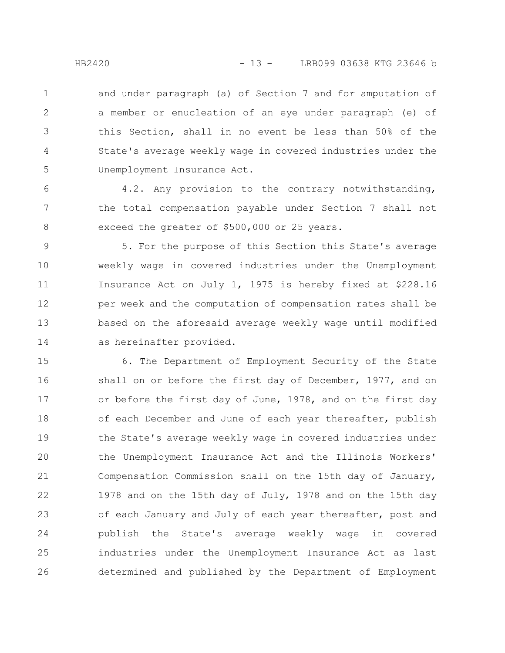and under paragraph (a) of Section 7 and for amputation of a member or enucleation of an eye under paragraph (e) of this Section, shall in no event be less than 50% of the State's average weekly wage in covered industries under the Unemployment Insurance Act. 1 2 3 4 5

4.2. Any provision to the contrary notwithstanding, the total compensation payable under Section 7 shall not exceed the greater of \$500,000 or 25 years. 6 7 8

5. For the purpose of this Section this State's average weekly wage in covered industries under the Unemployment Insurance Act on July 1, 1975 is hereby fixed at \$228.16 per week and the computation of compensation rates shall be based on the aforesaid average weekly wage until modified as hereinafter provided. 9 10 11 12 13 14

6. The Department of Employment Security of the State shall on or before the first day of December, 1977, and on or before the first day of June, 1978, and on the first day of each December and June of each year thereafter, publish the State's average weekly wage in covered industries under the Unemployment Insurance Act and the Illinois Workers' Compensation Commission shall on the 15th day of January, 1978 and on the 15th day of July, 1978 and on the 15th day of each January and July of each year thereafter, post and publish the State's average weekly wage in covered industries under the Unemployment Insurance Act as last determined and published by the Department of Employment 15 16 17 18 19 20 21 22 23 24 25 26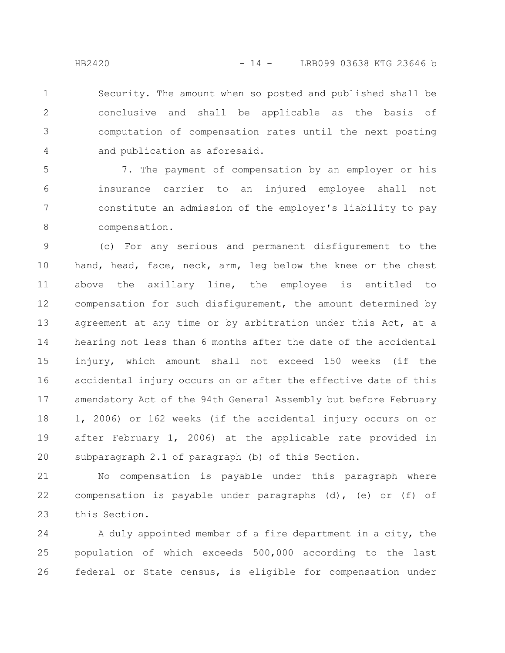Security. The amount when so posted and published shall be conclusive and shall be applicable as the basis of computation of compensation rates until the next posting and publication as aforesaid. 1 2 3 4

7. The payment of compensation by an employer or his insurance carrier to an injured employee shall not constitute an admission of the employer's liability to pay compensation. 5 6 7 8

(c) For any serious and permanent disfigurement to the hand, head, face, neck, arm, leg below the knee or the chest above the axillary line, the employee is entitled to compensation for such disfigurement, the amount determined by agreement at any time or by arbitration under this Act, at a hearing not less than 6 months after the date of the accidental injury, which amount shall not exceed 150 weeks (if the accidental injury occurs on or after the effective date of this amendatory Act of the 94th General Assembly but before February 1, 2006) or 162 weeks (if the accidental injury occurs on or after February 1, 2006) at the applicable rate provided in subparagraph 2.1 of paragraph (b) of this Section. 9 10 11 12 13 14 15 16 17 18 19 20

No compensation is payable under this paragraph where compensation is payable under paragraphs (d), (e) or (f) of this Section. 21 22 23

A duly appointed member of a fire department in a city, the population of which exceeds 500,000 according to the last federal or State census, is eligible for compensation under 24 25 26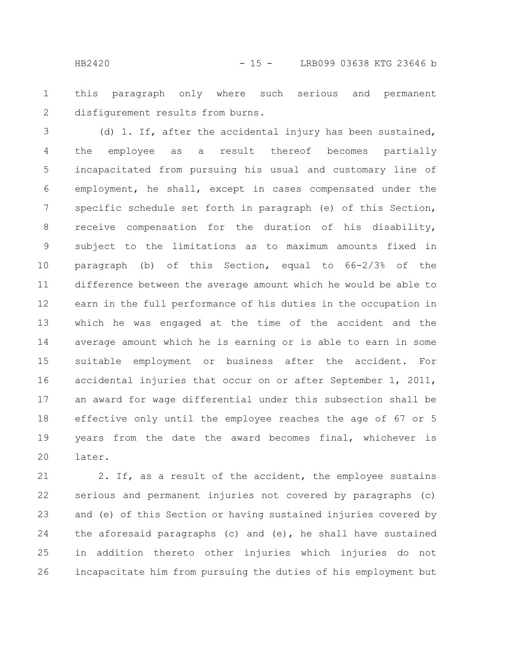this paragraph only where such serious and permanent disfigurement results from burns. 1 2

(d) 1. If, after the accidental injury has been sustained, the employee as a result thereof becomes partially incapacitated from pursuing his usual and customary line of employment, he shall, except in cases compensated under the specific schedule set forth in paragraph (e) of this Section, receive compensation for the duration of his disability, subject to the limitations as to maximum amounts fixed in paragraph (b) of this Section, equal to 66-2/3% of the difference between the average amount which he would be able to earn in the full performance of his duties in the occupation in which he was engaged at the time of the accident and the average amount which he is earning or is able to earn in some suitable employment or business after the accident. For accidental injuries that occur on or after September 1, 2011, an award for wage differential under this subsection shall be effective only until the employee reaches the age of 67 or 5 years from the date the award becomes final, whichever is later. 3 4 5 6 7 8 9 10 11 12 13 14 15 16 17 18 19 20

2. If, as a result of the accident, the employee sustains serious and permanent injuries not covered by paragraphs (c) and (e) of this Section or having sustained injuries covered by the aforesaid paragraphs (c) and (e), he shall have sustained in addition thereto other injuries which injuries do not incapacitate him from pursuing the duties of his employment but 21 22 23 24 25 26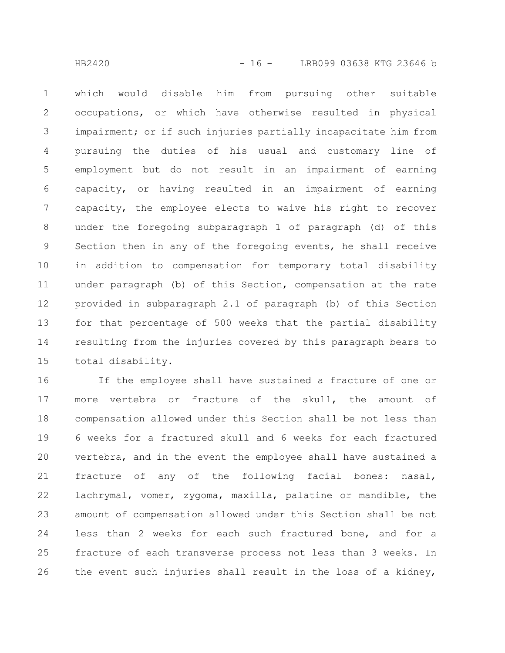which would disable him from pursuing other suitable occupations, or which have otherwise resulted in physical impairment; or if such injuries partially incapacitate him from pursuing the duties of his usual and customary line of employment but do not result in an impairment of earning capacity, or having resulted in an impairment of earning capacity, the employee elects to waive his right to recover under the foregoing subparagraph 1 of paragraph (d) of this Section then in any of the foregoing events, he shall receive in addition to compensation for temporary total disability under paragraph (b) of this Section, compensation at the rate provided in subparagraph 2.1 of paragraph (b) of this Section for that percentage of 500 weeks that the partial disability resulting from the injuries covered by this paragraph bears to total disability. 1 2 3 4 5 6 7 8 9 10 11 12 13 14 15

If the employee shall have sustained a fracture of one or more vertebra or fracture of the skull, the amount of compensation allowed under this Section shall be not less than 6 weeks for a fractured skull and 6 weeks for each fractured vertebra, and in the event the employee shall have sustained a fracture of any of the following facial bones: nasal, lachrymal, vomer, zygoma, maxilla, palatine or mandible, the amount of compensation allowed under this Section shall be not less than 2 weeks for each such fractured bone, and for a fracture of each transverse process not less than 3 weeks. In the event such injuries shall result in the loss of a kidney, 16 17 18 19 20 21 22 23 24 25 26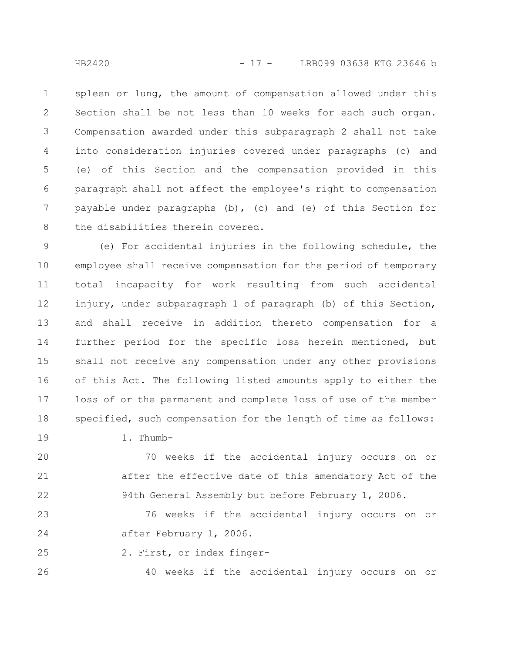spleen or lung, the amount of compensation allowed under this Section shall be not less than 10 weeks for each such organ. Compensation awarded under this subparagraph 2 shall not take into consideration injuries covered under paragraphs (c) and (e) of this Section and the compensation provided in this paragraph shall not affect the employee's right to compensation payable under paragraphs (b), (c) and (e) of this Section for the disabilities therein covered. 1 2 3 4 5 6 7 8

(e) For accidental injuries in the following schedule, the employee shall receive compensation for the period of temporary total incapacity for work resulting from such accidental injury, under subparagraph 1 of paragraph (b) of this Section, and shall receive in addition thereto compensation for a further period for the specific loss herein mentioned, but shall not receive any compensation under any other provisions of this Act. The following listed amounts apply to either the loss of or the permanent and complete loss of use of the member specified, such compensation for the length of time as follows: 9 10 11 12 13 14 15 16 17 18

1. Thumb-

19

70 weeks if the accidental injury occurs on or after the effective date of this amendatory Act of the 94th General Assembly but before February 1, 2006. 20 21 22

76 weeks if the accidental injury occurs on or after February 1, 2006. 23 24

2. First, or index finger-25

40 weeks if the accidental injury occurs on or 26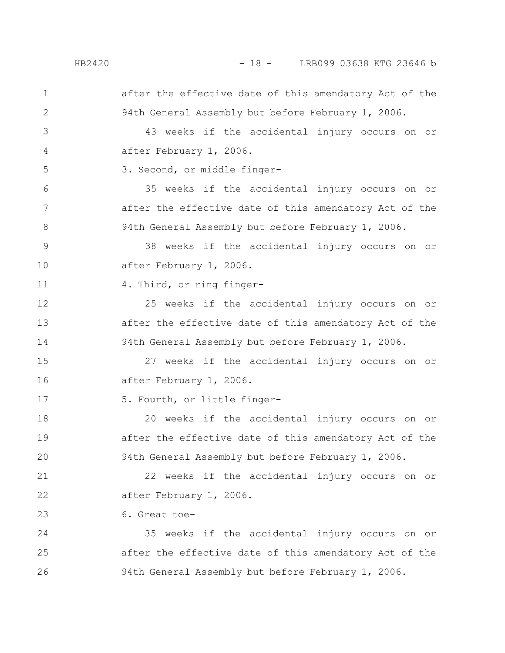#### HB2420 - 18 - LRB099 03638 KTG 23646 b

after the effective date of this amendatory Act of the 94th General Assembly but before February 1, 2006. 43 weeks if the accidental injury occurs on or after February 1, 2006. 3. Second, or middle finger-35 weeks if the accidental injury occurs on or after the effective date of this amendatory Act of the 94th General Assembly but before February 1, 2006. 38 weeks if the accidental injury occurs on or after February 1, 2006. 4. Third, or ring finger-25 weeks if the accidental injury occurs on or after the effective date of this amendatory Act of the 94th General Assembly but before February 1, 2006. 27 weeks if the accidental injury occurs on or after February 1, 2006. 5. Fourth, or little finger-20 weeks if the accidental injury occurs on or after the effective date of this amendatory Act of the 94th General Assembly but before February 1, 2006. 22 weeks if the accidental injury occurs on or after February 1, 2006. 6. Great toe-35 weeks if the accidental injury occurs on or after the effective date of this amendatory Act of the 94th General Assembly but before February 1, 2006. 1 2 3 4 5 6 7 8 9 10 11 12 13 14 15 16 17 18 19 20 21 22 23 24 25 26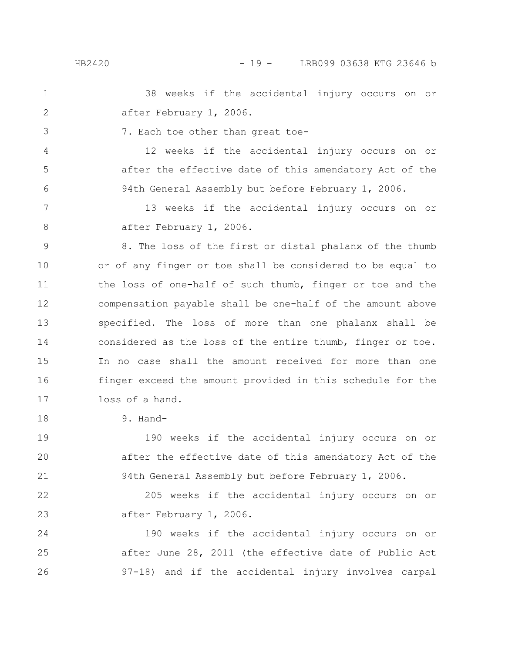38 weeks if the accidental injury occurs on or after February 1, 2006. 1 2

3

4

7. Each toe other than great toe-

12 weeks if the accidental injury occurs on or after the effective date of this amendatory Act of the 94th General Assembly but before February 1, 2006. 5 6

13 weeks if the accidental injury occurs on or after February 1, 2006. 7 8

8. The loss of the first or distal phalanx of the thumb or of any finger or toe shall be considered to be equal to the loss of one-half of such thumb, finger or toe and the compensation payable shall be one-half of the amount above specified. The loss of more than one phalanx shall be considered as the loss of the entire thumb, finger or toe. In no case shall the amount received for more than one finger exceed the amount provided in this schedule for the loss of a hand. 9 10 11 12 13 14 15 16 17

9. Hand-18

190 weeks if the accidental injury occurs on or after the effective date of this amendatory Act of the 94th General Assembly but before February 1, 2006. 19 20 21

205 weeks if the accidental injury occurs on or after February 1, 2006. 22 23

190 weeks if the accidental injury occurs on or after June 28, 2011 (the effective date of Public Act 97-18) and if the accidental injury involves carpal 24 25 26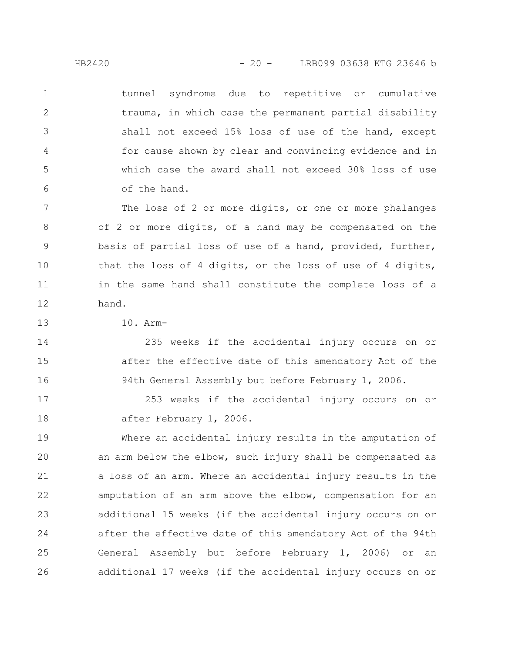tunnel syndrome due to repetitive or cumulative trauma, in which case the permanent partial disability shall not exceed 15% loss of use of the hand, except for cause shown by clear and convincing evidence and in which case the award shall not exceed 30% loss of use of the hand. 1 2 3 4 5 6

The loss of 2 or more digits, or one or more phalanges of 2 or more digits, of a hand may be compensated on the basis of partial loss of use of a hand, provided, further, that the loss of 4 digits, or the loss of use of 4 digits, in the same hand shall constitute the complete loss of a hand. 7 8 9 10 11 12

10. Arm-13

17

18

235 weeks if the accidental injury occurs on or after the effective date of this amendatory Act of the 94th General Assembly but before February 1, 2006. 14 15 16

253 weeks if the accidental injury occurs on or after February 1, 2006.

Where an accidental injury results in the amputation of an arm below the elbow, such injury shall be compensated as a loss of an arm. Where an accidental injury results in the amputation of an arm above the elbow, compensation for an additional 15 weeks (if the accidental injury occurs on or after the effective date of this amendatory Act of the 94th General Assembly but before February 1, 2006) or an additional 17 weeks (if the accidental injury occurs on or 19 20 21 22 23 24 25 26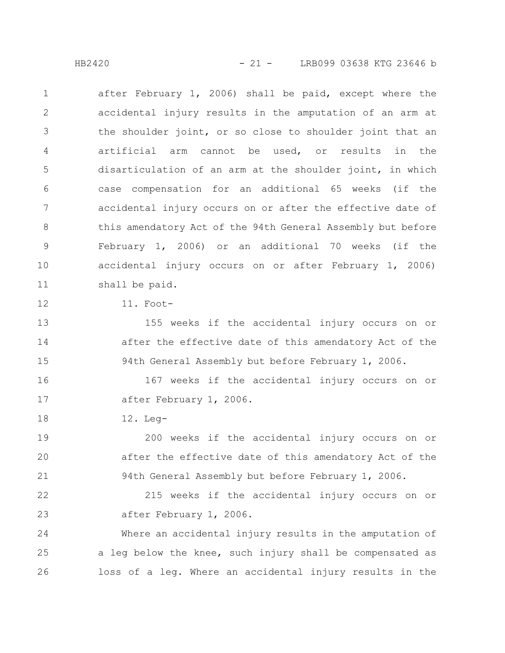HB2420 - 21 - LRB099 03638 KTG 23646 b

after February 1, 2006) shall be paid, except where the accidental injury results in the amputation of an arm at the shoulder joint, or so close to shoulder joint that an artificial arm cannot be used, or results in the disarticulation of an arm at the shoulder joint, in which case compensation for an additional 65 weeks (if the accidental injury occurs on or after the effective date of this amendatory Act of the 94th General Assembly but before February 1, 2006) or an additional 70 weeks (if the accidental injury occurs on or after February 1, 2006) shall be paid. 1 2 3 4 5 6 7 8 9 10 11

11. Foot-12

155 weeks if the accidental injury occurs on or after the effective date of this amendatory Act of the 94th General Assembly but before February 1, 2006. 13 14 15

167 weeks if the accidental injury occurs on or after February 1, 2006. 16 17

12. Leg-18

200 weeks if the accidental injury occurs on or after the effective date of this amendatory Act of the 94th General Assembly but before February 1, 2006. 19 20 21

215 weeks if the accidental injury occurs on or after February 1, 2006. 22 23

Where an accidental injury results in the amputation of a leg below the knee, such injury shall be compensated as loss of a leg. Where an accidental injury results in the 24 25 26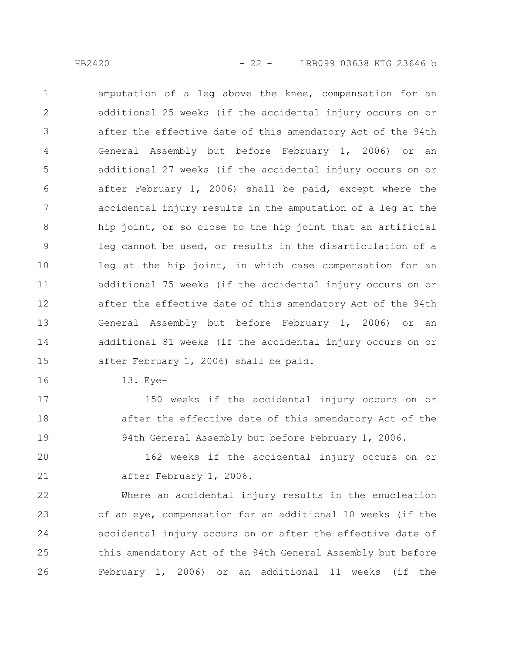amputation of a leg above the knee, compensation for an additional 25 weeks (if the accidental injury occurs on or after the effective date of this amendatory Act of the 94th General Assembly but before February 1, 2006) or an additional 27 weeks (if the accidental injury occurs on or after February 1, 2006) shall be paid, except where the accidental injury results in the amputation of a leg at the hip joint, or so close to the hip joint that an artificial leg cannot be used, or results in the disarticulation of a leg at the hip joint, in which case compensation for an additional 75 weeks (if the accidental injury occurs on or after the effective date of this amendatory Act of the 94th General Assembly but before February 1, 2006) or an additional 81 weeks (if the accidental injury occurs on or after February 1, 2006) shall be paid. 1 2 3 4 5 6 7 8 9 10 11 12 13 14 15

13. Eye-16

17

18

19

150 weeks if the accidental injury occurs on or after the effective date of this amendatory Act of the 94th General Assembly but before February 1, 2006.

162 weeks if the accidental injury occurs on or after February 1, 2006. 20 21

Where an accidental injury results in the enucleation of an eye, compensation for an additional 10 weeks (if the accidental injury occurs on or after the effective date of this amendatory Act of the 94th General Assembly but before February 1, 2006) or an additional 11 weeks (if the 22 23 24 25 26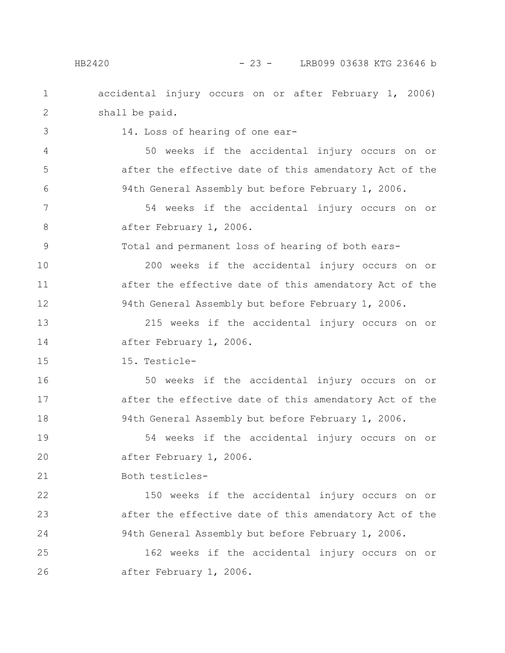#### HB2420 - 23 - LRB099 03638 KTG 23646 b

accidental injury occurs on or after February 1, 2006) shall be paid. 14. Loss of hearing of one ear-50 weeks if the accidental injury occurs on or after the effective date of this amendatory Act of the 94th General Assembly but before February 1, 2006. 54 weeks if the accidental injury occurs on or after February 1, 2006. Total and permanent loss of hearing of both ears-200 weeks if the accidental injury occurs on or after the effective date of this amendatory Act of the 94th General Assembly but before February 1, 2006. 215 weeks if the accidental injury occurs on or after February 1, 2006. 15. Testicle-50 weeks if the accidental injury occurs on or after the effective date of this amendatory Act of the 94th General Assembly but before February 1, 2006. 54 weeks if the accidental injury occurs on or after February 1, 2006. Both testicles-150 weeks if the accidental injury occurs on or after the effective date of this amendatory Act of the 94th General Assembly but before February 1, 2006. 162 weeks if the accidental injury occurs on or after February 1, 2006. 1 2 3 4 5 6 7 8 9 10 11 12 13 14 15 16 17 18 19 20 21 22 23 24 25 26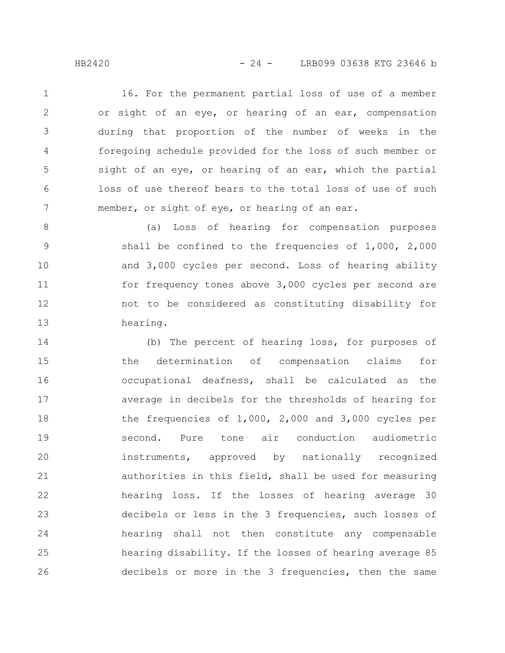HB2420 - 24 - LRB099 03638 KTG 23646 b

16. For the permanent partial loss of use of a member or sight of an eye, or hearing of an ear, compensation during that proportion of the number of weeks in the foregoing schedule provided for the loss of such member or sight of an eye, or hearing of an ear, which the partial loss of use thereof bears to the total loss of use of such member, or sight of eye, or hearing of an ear. 1 2 3 4 5 6 7

(a) Loss of hearing for compensation purposes shall be confined to the frequencies of 1,000, 2,000 and 3,000 cycles per second. Loss of hearing ability for frequency tones above 3,000 cycles per second are not to be considered as constituting disability for hearing. 8 9 10 11 12 13

(b) The percent of hearing loss, for purposes of the determination of compensation claims for occupational deafness, shall be calculated as the average in decibels for the thresholds of hearing for the frequencies of 1,000, 2,000 and 3,000 cycles per second. Pure tone air conduction audiometric instruments, approved by nationally recognized authorities in this field, shall be used for measuring hearing loss. If the losses of hearing average 30 decibels or less in the 3 frequencies, such losses of hearing shall not then constitute any compensable hearing disability. If the losses of hearing average 85 decibels or more in the 3 frequencies, then the same 14 15 16 17 18 19 20 21 22 23 24 25 26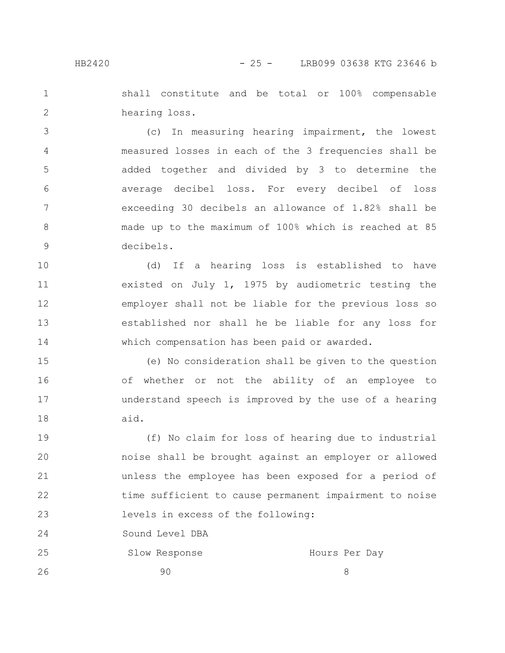1

2

26

shall constitute and be total or 100% compensable hearing loss.

(c) In measuring hearing impairment, the lowest measured losses in each of the 3 frequencies shall be added together and divided by 3 to determine the average decibel loss. For every decibel of loss exceeding 30 decibels an allowance of 1.82% shall be made up to the maximum of 100% which is reached at 85 decibels. 3 4 5 6 7 8 9

(d) If a hearing loss is established to have existed on July 1, 1975 by audiometric testing the employer shall not be liable for the previous loss so established nor shall he be liable for any loss for which compensation has been paid or awarded. 10 11 12 13 14

(e) No consideration shall be given to the question of whether or not the ability of an employee to understand speech is improved by the use of a hearing aid. 15 16 17 18

(f) No claim for loss of hearing due to industrial noise shall be brought against an employer or allowed unless the employee has been exposed for a period of time sufficient to cause permanent impairment to noise levels in excess of the following: Sound Level DBA Slow Response Hours Per Day 19 20 21 22 23 24 25

90 8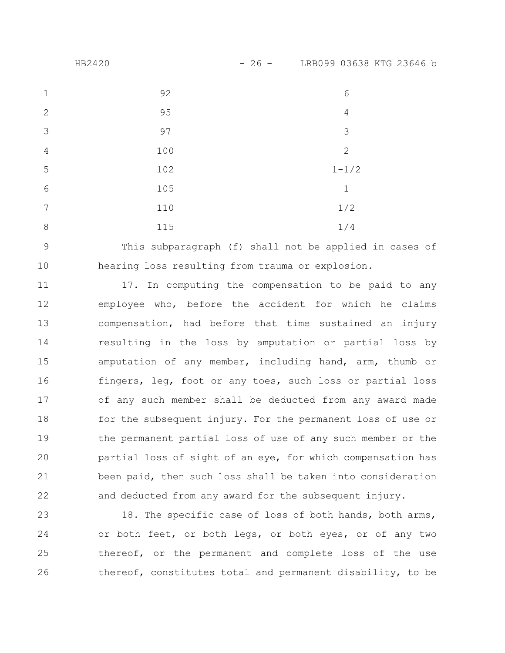| 1              | 92  | 6              |
|----------------|-----|----------------|
| $\overline{2}$ | 95  | $\overline{4}$ |
| 3              | 97  | 3              |
| $\sqrt{4}$     | 100 | $\mathbf{2}$   |
| 5              | 102 | $1 - 1/2$      |
| 6              | 105 | $\mathbf 1$    |
| 7              | 110 | 1/2            |
| 8              | 115 | 1/4            |

This subparagraph (f) shall not be applied in cases of hearing loss resulting from trauma or explosion. 9 10

17. In computing the compensation to be paid to any employee who, before the accident for which he claims compensation, had before that time sustained an injury resulting in the loss by amputation or partial loss by amputation of any member, including hand, arm, thumb or fingers, leg, foot or any toes, such loss or partial loss of any such member shall be deducted from any award made for the subsequent injury. For the permanent loss of use or the permanent partial loss of use of any such member or the partial loss of sight of an eye, for which compensation has been paid, then such loss shall be taken into consideration and deducted from any award for the subsequent injury. 11 12 13 14 15 16 17 18 19 20 21 22

18. The specific case of loss of both hands, both arms, or both feet, or both legs, or both eyes, or of any two thereof, or the permanent and complete loss of the use thereof, constitutes total and permanent disability, to be 23 24 25 26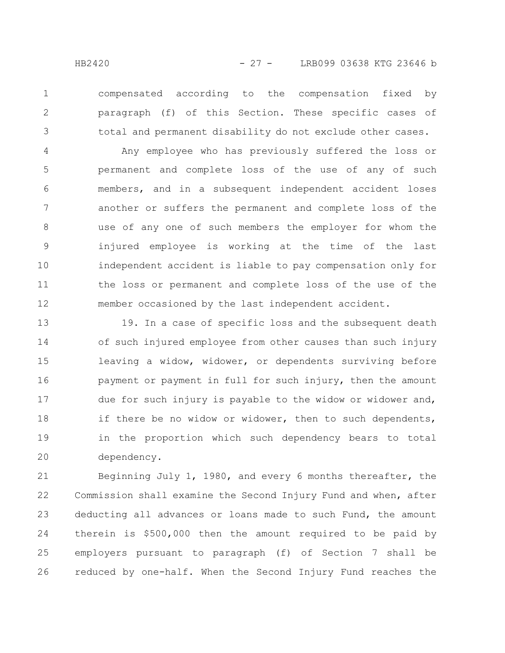compensated according to the compensation fixed by paragraph (f) of this Section. These specific cases of total and permanent disability do not exclude other cases. 1 2 3

Any employee who has previously suffered the loss or permanent and complete loss of the use of any of such members, and in a subsequent independent accident loses another or suffers the permanent and complete loss of the use of any one of such members the employer for whom the injured employee is working at the time of the last independent accident is liable to pay compensation only for the loss or permanent and complete loss of the use of the member occasioned by the last independent accident. 4 5 6 7 8 9 10 11 12

19. In a case of specific loss and the subsequent death of such injured employee from other causes than such injury leaving a widow, widower, or dependents surviving before payment or payment in full for such injury, then the amount due for such injury is payable to the widow or widower and, if there be no widow or widower, then to such dependents, in the proportion which such dependency bears to total dependency. 13 14 15 16 17 18 19 20

Beginning July 1, 1980, and every 6 months thereafter, the Commission shall examine the Second Injury Fund and when, after deducting all advances or loans made to such Fund, the amount therein is \$500,000 then the amount required to be paid by employers pursuant to paragraph (f) of Section 7 shall be reduced by one-half. When the Second Injury Fund reaches the 21 22 23 24 25 26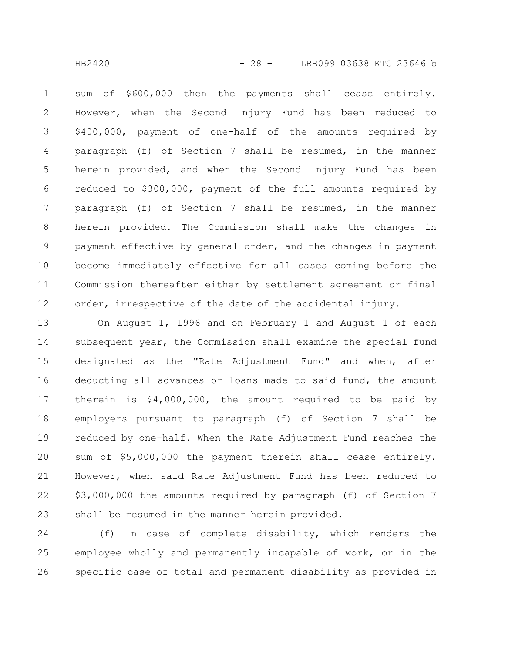sum of \$600,000 then the payments shall cease entirely. However, when the Second Injury Fund has been reduced to \$400,000, payment of one-half of the amounts required by paragraph (f) of Section 7 shall be resumed, in the manner herein provided, and when the Second Injury Fund has been reduced to \$300,000, payment of the full amounts required by paragraph (f) of Section 7 shall be resumed, in the manner herein provided. The Commission shall make the changes in payment effective by general order, and the changes in payment become immediately effective for all cases coming before the Commission thereafter either by settlement agreement or final order, irrespective of the date of the accidental injury. 1 2 3 4 5 6 7 8 9 10 11 12

On August 1, 1996 and on February 1 and August 1 of each subsequent year, the Commission shall examine the special fund designated as the "Rate Adjustment Fund" and when, after deducting all advances or loans made to said fund, the amount therein is \$4,000,000, the amount required to be paid by employers pursuant to paragraph (f) of Section 7 shall be reduced by one-half. When the Rate Adjustment Fund reaches the sum of \$5,000,000 the payment therein shall cease entirely. However, when said Rate Adjustment Fund has been reduced to \$3,000,000 the amounts required by paragraph (f) of Section 7 shall be resumed in the manner herein provided. 13 14 15 16 17 18 19 20 21 22 23

(f) In case of complete disability, which renders the employee wholly and permanently incapable of work, or in the specific case of total and permanent disability as provided in 24 25 26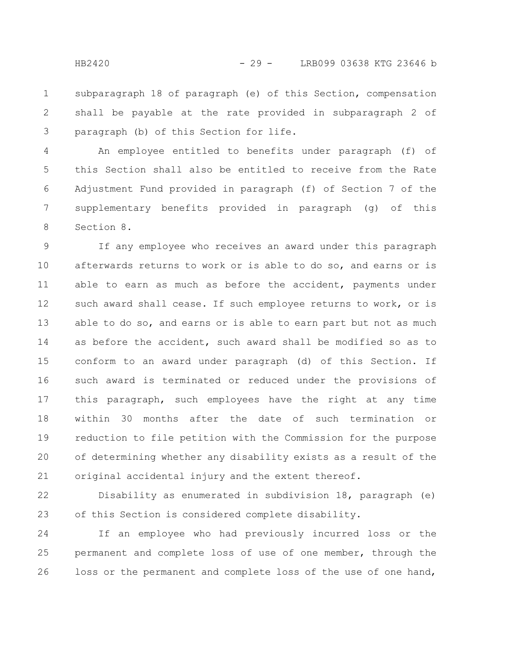subparagraph 18 of paragraph (e) of this Section, compensation shall be payable at the rate provided in subparagraph 2 of paragraph (b) of this Section for life. 1 2 3

An employee entitled to benefits under paragraph (f) of this Section shall also be entitled to receive from the Rate Adjustment Fund provided in paragraph (f) of Section 7 of the supplementary benefits provided in paragraph (g) of this Section 8. 4 5 6 7 8

If any employee who receives an award under this paragraph afterwards returns to work or is able to do so, and earns or is able to earn as much as before the accident, payments under such award shall cease. If such employee returns to work, or is able to do so, and earns or is able to earn part but not as much as before the accident, such award shall be modified so as to conform to an award under paragraph (d) of this Section. If such award is terminated or reduced under the provisions of this paragraph, such employees have the right at any time within 30 months after the date of such termination or reduction to file petition with the Commission for the purpose of determining whether any disability exists as a result of the original accidental injury and the extent thereof. 9 10 11 12 13 14 15 16 17 18 19 20 21

Disability as enumerated in subdivision 18, paragraph (e) of this Section is considered complete disability. 22 23

If an employee who had previously incurred loss or the permanent and complete loss of use of one member, through the loss or the permanent and complete loss of the use of one hand, 24 25 26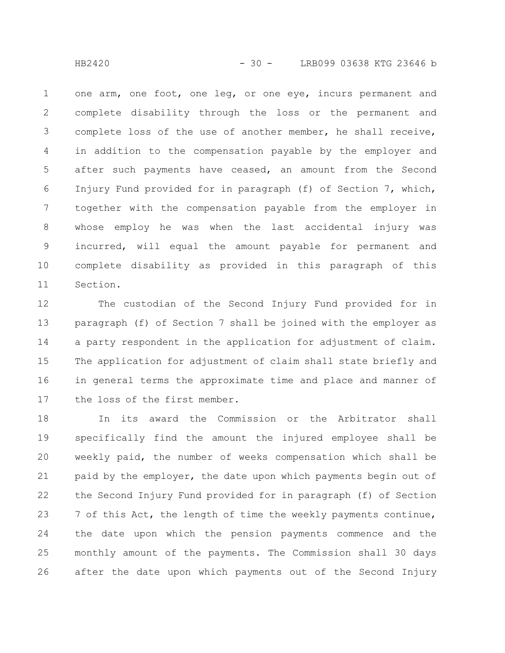one arm, one foot, one leg, or one eye, incurs permanent and complete disability through the loss or the permanent and complete loss of the use of another member, he shall receive, in addition to the compensation payable by the employer and after such payments have ceased, an amount from the Second Injury Fund provided for in paragraph (f) of Section 7, which, together with the compensation payable from the employer in whose employ he was when the last accidental injury was incurred, will equal the amount payable for permanent and complete disability as provided in this paragraph of this Section. 1 2 3 4 5 6 7 8 9 10 11

The custodian of the Second Injury Fund provided for in paragraph (f) of Section 7 shall be joined with the employer as a party respondent in the application for adjustment of claim. The application for adjustment of claim shall state briefly and in general terms the approximate time and place and manner of the loss of the first member. 12 13 14 15 16 17

In its award the Commission or the Arbitrator shall specifically find the amount the injured employee shall be weekly paid, the number of weeks compensation which shall be paid by the employer, the date upon which payments begin out of the Second Injury Fund provided for in paragraph (f) of Section 7 of this Act, the length of time the weekly payments continue, the date upon which the pension payments commence and the monthly amount of the payments. The Commission shall 30 days after the date upon which payments out of the Second Injury 18 19 20 21 22 23 24 25 26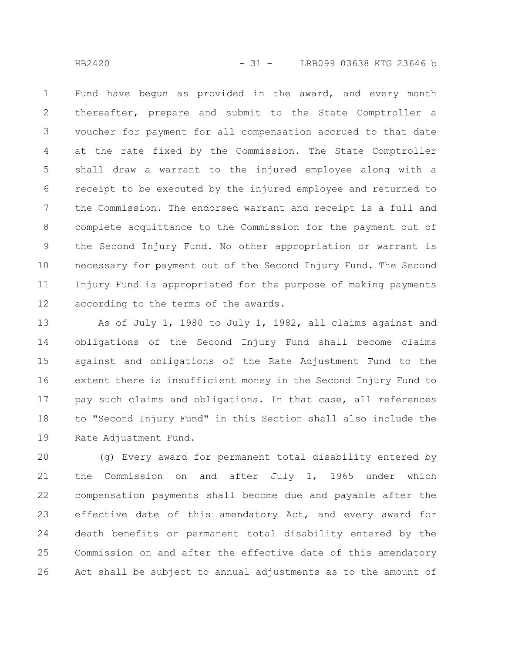Fund have begun as provided in the award, and every month thereafter, prepare and submit to the State Comptroller a voucher for payment for all compensation accrued to that date at the rate fixed by the Commission. The State Comptroller shall draw a warrant to the injured employee along with a receipt to be executed by the injured employee and returned to the Commission. The endorsed warrant and receipt is a full and complete acquittance to the Commission for the payment out of the Second Injury Fund. No other appropriation or warrant is necessary for payment out of the Second Injury Fund. The Second Injury Fund is appropriated for the purpose of making payments according to the terms of the awards. 1 2 3 4 5 6 7 8 9 10 11 12

As of July 1, 1980 to July 1, 1982, all claims against and obligations of the Second Injury Fund shall become claims against and obligations of the Rate Adjustment Fund to the extent there is insufficient money in the Second Injury Fund to pay such claims and obligations. In that case, all references to "Second Injury Fund" in this Section shall also include the Rate Adjustment Fund. 13 14 15 16 17 18 19

(g) Every award for permanent total disability entered by the Commission on and after July 1, 1965 under which compensation payments shall become due and payable after the effective date of this amendatory Act, and every award for death benefits or permanent total disability entered by the Commission on and after the effective date of this amendatory Act shall be subject to annual adjustments as to the amount of 20 21 22 23 24 25 26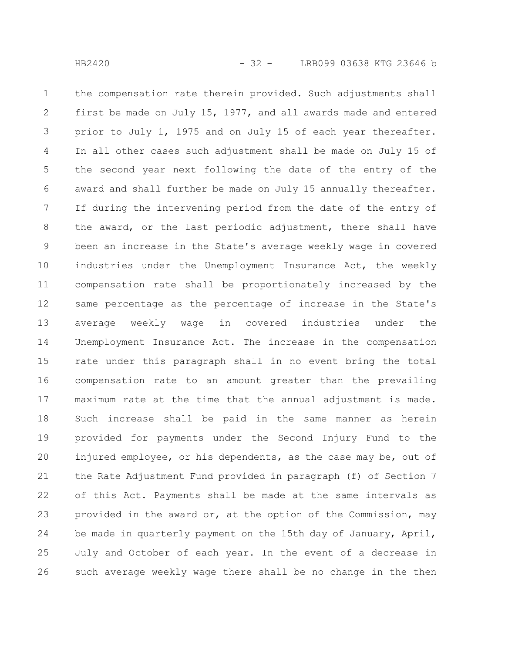the compensation rate therein provided. Such adjustments shall first be made on July 15, 1977, and all awards made and entered prior to July 1, 1975 and on July 15 of each year thereafter. In all other cases such adjustment shall be made on July 15 of the second year next following the date of the entry of the award and shall further be made on July 15 annually thereafter. If during the intervening period from the date of the entry of the award, or the last periodic adjustment, there shall have been an increase in the State's average weekly wage in covered industries under the Unemployment Insurance Act, the weekly compensation rate shall be proportionately increased by the same percentage as the percentage of increase in the State's average weekly wage in covered industries under the Unemployment Insurance Act. The increase in the compensation rate under this paragraph shall in no event bring the total compensation rate to an amount greater than the prevailing maximum rate at the time that the annual adjustment is made. Such increase shall be paid in the same manner as herein provided for payments under the Second Injury Fund to the injured employee, or his dependents, as the case may be, out of the Rate Adjustment Fund provided in paragraph (f) of Section 7 of this Act. Payments shall be made at the same intervals as provided in the award or, at the option of the Commission, may be made in quarterly payment on the 15th day of January, April, July and October of each year. In the event of a decrease in such average weekly wage there shall be no change in the then 1 2 3 4 5 6 7 8 9 10 11 12 13 14 15 16 17 18 19 20 21 22 23 24 25 26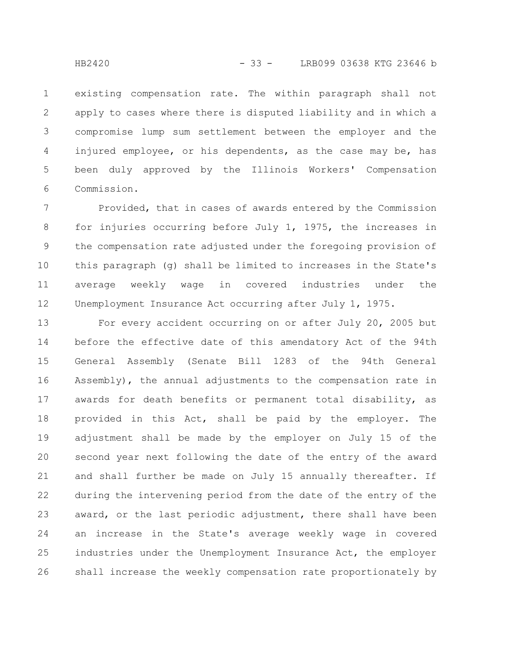existing compensation rate. The within paragraph shall not apply to cases where there is disputed liability and in which a compromise lump sum settlement between the employer and the injured employee, or his dependents, as the case may be, has been duly approved by the Illinois Workers' Compensation Commission. 1 2 3 4 5 6

Provided, that in cases of awards entered by the Commission for injuries occurring before July 1, 1975, the increases in the compensation rate adjusted under the foregoing provision of this paragraph (g) shall be limited to increases in the State's average weekly wage in covered industries under the Unemployment Insurance Act occurring after July 1, 1975. 7 8 9 10 11 12

For every accident occurring on or after July 20, 2005 but before the effective date of this amendatory Act of the 94th General Assembly (Senate Bill 1283 of the 94th General Assembly), the annual adjustments to the compensation rate in awards for death benefits or permanent total disability, as provided in this Act, shall be paid by the employer. The adjustment shall be made by the employer on July 15 of the second year next following the date of the entry of the award and shall further be made on July 15 annually thereafter. If during the intervening period from the date of the entry of the award, or the last periodic adjustment, there shall have been an increase in the State's average weekly wage in covered industries under the Unemployment Insurance Act, the employer shall increase the weekly compensation rate proportionately by 13 14 15 16 17 18 19 20 21 22 23 24 25 26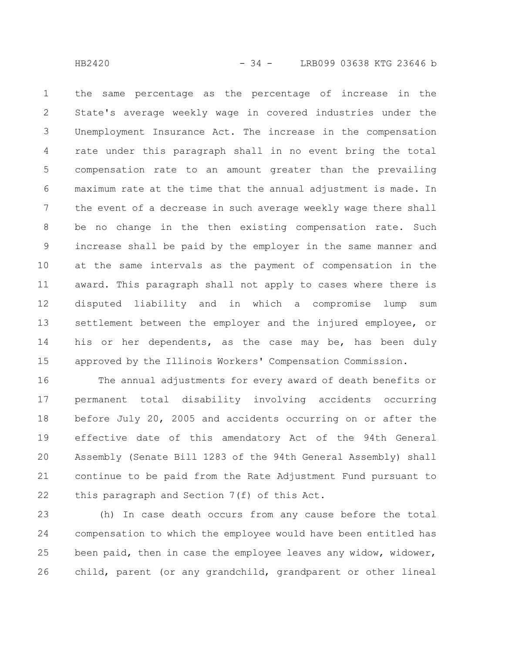the same percentage as the percentage of increase in the State's average weekly wage in covered industries under the Unemployment Insurance Act. The increase in the compensation rate under this paragraph shall in no event bring the total compensation rate to an amount greater than the prevailing maximum rate at the time that the annual adjustment is made. In the event of a decrease in such average weekly wage there shall be no change in the then existing compensation rate. Such increase shall be paid by the employer in the same manner and at the same intervals as the payment of compensation in the award. This paragraph shall not apply to cases where there is disputed liability and in which a compromise lump sum settlement between the employer and the injured employee, or his or her dependents, as the case may be, has been duly approved by the Illinois Workers' Compensation Commission. 1 2 3 4 5 6 7 8 9 10 11 12 13 14 15

The annual adjustments for every award of death benefits or permanent total disability involving accidents occurring before July 20, 2005 and accidents occurring on or after the effective date of this amendatory Act of the 94th General Assembly (Senate Bill 1283 of the 94th General Assembly) shall continue to be paid from the Rate Adjustment Fund pursuant to this paragraph and Section 7(f) of this Act. 16 17 18 19 20 21 22

(h) In case death occurs from any cause before the total compensation to which the employee would have been entitled has been paid, then in case the employee leaves any widow, widower, child, parent (or any grandchild, grandparent or other lineal 23 24 25 26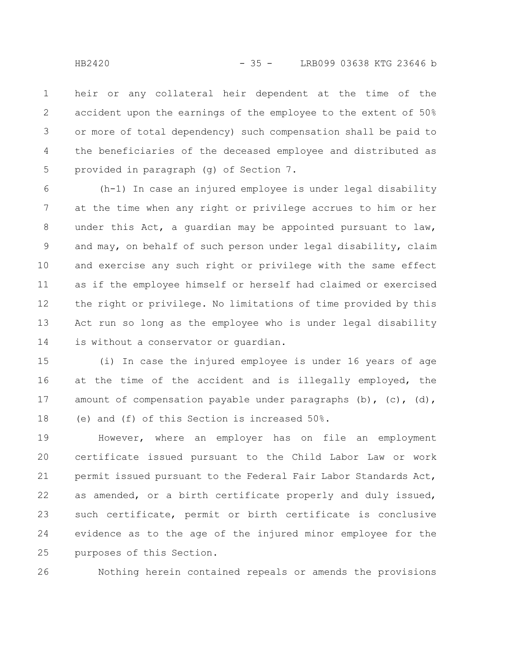heir or any collateral heir dependent at the time of the accident upon the earnings of the employee to the extent of 50% or more of total dependency) such compensation shall be paid to the beneficiaries of the deceased employee and distributed as provided in paragraph (g) of Section 7. 1 2 3 4 5

(h-1) In case an injured employee is under legal disability at the time when any right or privilege accrues to him or her under this Act, a quardian may be appointed pursuant to law, and may, on behalf of such person under legal disability, claim and exercise any such right or privilege with the same effect as if the employee himself or herself had claimed or exercised the right or privilege. No limitations of time provided by this Act run so long as the employee who is under legal disability is without a conservator or guardian. 6 7 8 9 10 11 12 13 14

(i) In case the injured employee is under 16 years of age at the time of the accident and is illegally employed, the amount of compensation payable under paragraphs  $(b)$ ,  $(c)$ ,  $(d)$ , (e) and (f) of this Section is increased 50%. 15 16 17 18

However, where an employer has on file an employment certificate issued pursuant to the Child Labor Law or work permit issued pursuant to the Federal Fair Labor Standards Act, as amended, or a birth certificate properly and duly issued, such certificate, permit or birth certificate is conclusive evidence as to the age of the injured minor employee for the purposes of this Section. 19 20 21 22 23 24 25

Nothing herein contained repeals or amends the provisions 26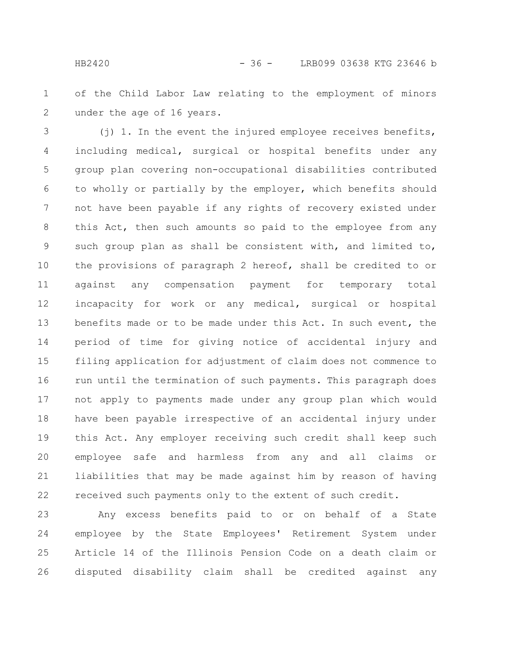of the Child Labor Law relating to the employment of minors under the age of 16 years. 1 2

(j) 1. In the event the injured employee receives benefits, including medical, surgical or hospital benefits under any group plan covering non-occupational disabilities contributed to wholly or partially by the employer, which benefits should not have been payable if any rights of recovery existed under this Act, then such amounts so paid to the employee from any such group plan as shall be consistent with, and limited to, the provisions of paragraph 2 hereof, shall be credited to or against any compensation payment for temporary total incapacity for work or any medical, surgical or hospital benefits made or to be made under this Act. In such event, the period of time for giving notice of accidental injury and filing application for adjustment of claim does not commence to run until the termination of such payments. This paragraph does not apply to payments made under any group plan which would have been payable irrespective of an accidental injury under this Act. Any employer receiving such credit shall keep such employee safe and harmless from any and all claims or liabilities that may be made against him by reason of having received such payments only to the extent of such credit. 3 4 5 6 7 8 9 10 11 12 13 14 15 16 17 18 19 20 21 22

Any excess benefits paid to or on behalf of a State employee by the State Employees' Retirement System under Article 14 of the Illinois Pension Code on a death claim or disputed disability claim shall be credited against any 23 24 25 26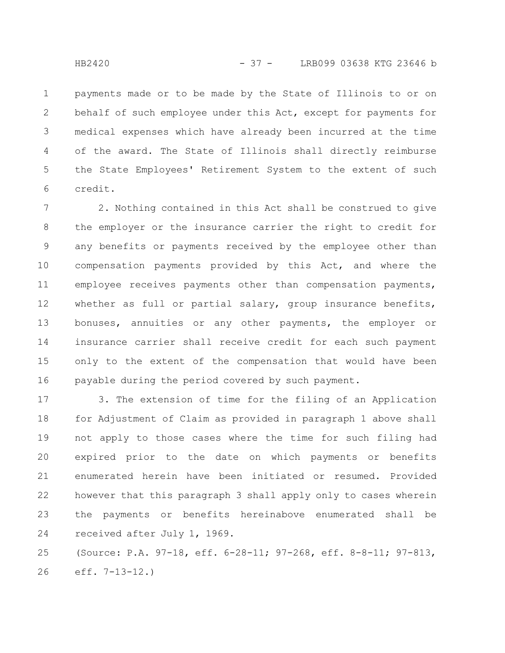payments made or to be made by the State of Illinois to or on behalf of such employee under this Act, except for payments for medical expenses which have already been incurred at the time of the award. The State of Illinois shall directly reimburse the State Employees' Retirement System to the extent of such credit. 1 2 3 4 5 6

2. Nothing contained in this Act shall be construed to give the employer or the insurance carrier the right to credit for any benefits or payments received by the employee other than compensation payments provided by this Act, and where the employee receives payments other than compensation payments, whether as full or partial salary, group insurance benefits, bonuses, annuities or any other payments, the employer or insurance carrier shall receive credit for each such payment only to the extent of the compensation that would have been payable during the period covered by such payment. 7 8 9 10 11 12 13 14 15 16

3. The extension of time for the filing of an Application for Adjustment of Claim as provided in paragraph 1 above shall not apply to those cases where the time for such filing had expired prior to the date on which payments or benefits enumerated herein have been initiated or resumed. Provided however that this paragraph 3 shall apply only to cases wherein the payments or benefits hereinabove enumerated shall be received after July 1, 1969. 17 18 19 20 21 22 23 24

(Source: P.A. 97-18, eff. 6-28-11; 97-268, eff. 8-8-11; 97-813, eff. 7-13-12.) 25 26